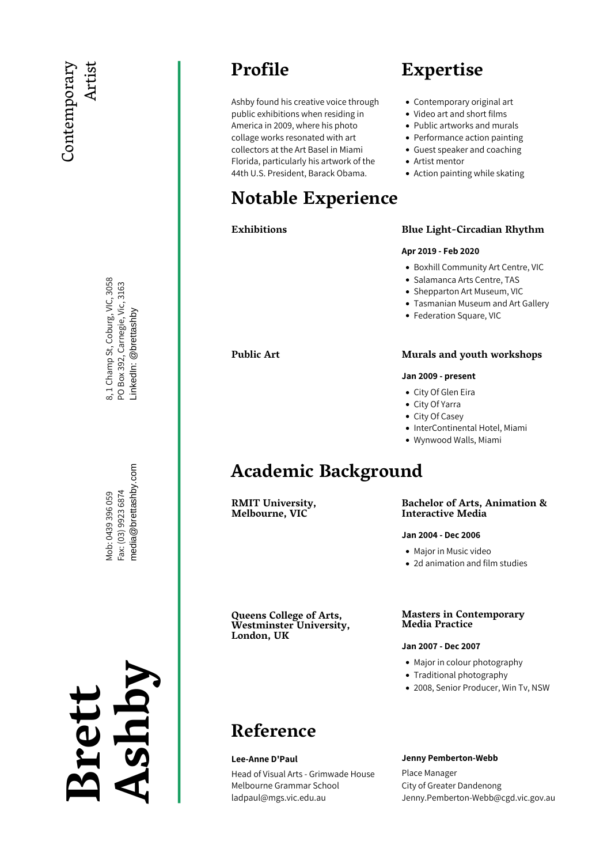8, 1 Champ St, Coburg, VIC, 3058<br>PO Box 392, Carnegie, Vic, 3163<br>LinkedIn: @brettashby

Mob: 0439 396 059<br>Fax: (03) 9923 6874 Fax: (03) 9923 6874<br>media@brettashb<br>

**Br e t t A shb** $\blacktriangleright$   $\vdash$ 

## **Profile**

Ashby found his creative voice through public exhibitions when residing in America in 2009, where his photo collage works resonated with art collectors at the Art Basel in Miami Florida, particularly his artwork of the 44th U.S. President, Barack Obama.

## **Notable Experience**

## **Exhibitions**

**Public Art**

# **Expertise**

- Contemporary original art
- Video art and short films
- Public artworks and murals
- Performance action painting
- Guest speaker and coaching
- Artist mentor
- Action painting while skating

## **Blue Light-Circadian Rhythm**

## **Apr 2019 -Feb 2020**

- Boxhill Community Art Centre, VIC
- [Salamanca](https://www.salarts.org.au/event/circadian-rhythm/) Arts Centre, TAS
- Shepparton Art Museum, VIC
- [Tasmanian](https://www.tmag.tas.gov.au/whats_on/newsselect/2021articles/hobart_current_liberty) Museum and Art Gallery
- Federation Square, VIC

## **Murals and youth workshops**

#### **Jan 2009 -present**

- City Of Glen Eira
- City Of Yarra
- City Of Casey
- InterContinental Hotel, Miami
- Wynwood Walls, Miami

# **Academic Background**

**RMIT University, Melbourne, VIC**

#### **Bachelor of Arts, Animation & Interactive Media**

#### **Jan 2004 -Dec 2006**

- Major in Music video
- 2d animation and film studies

#### **Masters in Contemporary Media Practice**

#### **Jan 2007 -Dec 2007**

- Major in colour photography
- Traditional photography
- 2008, Senior Producer, Win Tv, NSW

## **Reference**

**Queens College of Arts, Westminster University, London, UK**

## **Lee-Anne D'Paul**

Head of Visual Arts - Grimwade House Melbourne Grammar School ladpaul@mgs.vic.edu.au

#### **Jenny Pemberton-Webb**

Place Manager City of Greater Dandenong Jenny.Pemberton-Webb@cgd.vic.gov.au

# @brettashby.com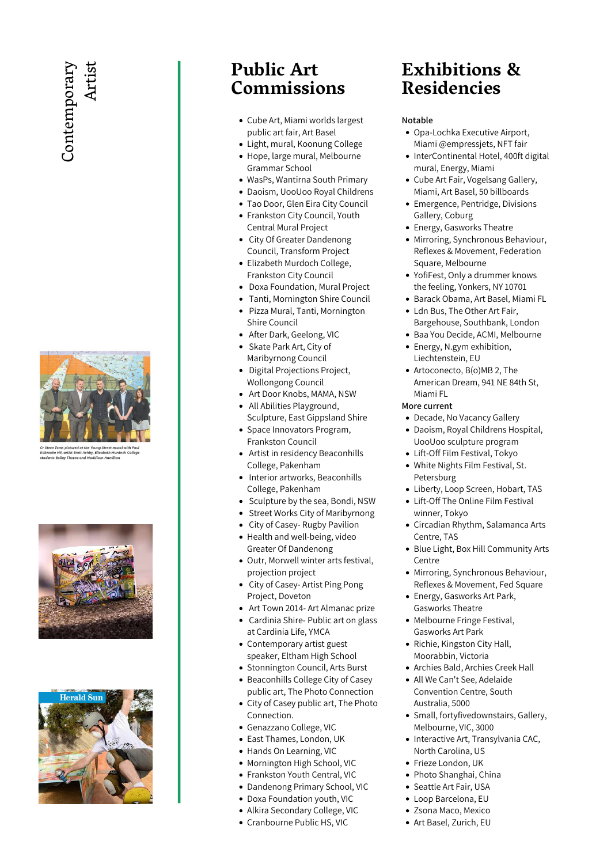





# **Public** Art Public Art<br>Commissions

- Cube Art, Miami w orlds largest public art fair, Art Basel
- Light, mural, Koonung College
- Hope, large mural, Melbourne Grammar School
- WasPs, Wantirna South Primary
- Daoism, UooUoo Royal Childrens
- Tao Door, Glen Eira City Council • Frankston City Council, Youth
- Central Mural Project
- City Of Greater Dandenong Council, Transform Project
- Elizabeth Murdoch College, Frankston City Council
- Doxa Foundation, Mural Project
- Tanti, Mornington Shire Council
- Pizza Mural, Tanti, Mornington Shire Council
- After Dark, Geelong, VIC
- Skate Park Art, City of Maribyrnong Council
- Digital Projections Project, Wollongong Council
- Art Door Knobs, MAMA, NSW
- All Abilities Playground, Sculpture, East Gippsland Shire
- Space Innovators Program, Frankston Council
- Artist in residency Beaconhills College, Pakenham
- Interior artworks, Beaconhills College, Pakenham
- Sculpture by the sea, Bondi, NSW
- Street Works City of Maribyrnong
- City of Casey- Rugby Pavilion
- Health and well-being, video Greater Of Dandenong
- Outr, Morwell winter arts festival, projection project
- City of Casey- Artist Ping Pong Project, Doveton
- Art Town 2014- Art Almanac prize
- Cardinia Shire- Public art on glass at Cardinia Life, YMCA
- Contemporary artist guest speaker, Eltham High School
- Stonnington Council, Arts Burst
- Beaconhills College City of Casey public art, The Photo Connection
- City of Casey public art, The Photo Connection.
- Genazzano College, VIC
- East Thames, London, UK
- Hands On Learning, VIC
- Mornington High School, VIC
- Frankston Youth Central, VIC
- Dandenong Primary School, VIC  $\bullet$
- Doxa Foundation youth, VIC  $\bullet$
- Alkira Secondary College, VIC
- Cranbourne Public HS, VIC

# **E x hibitio n s & R e sid e n cie s**

## **N otable**

- Opa-Lochka Executive Airport, Miami @empressjets, NFT fair
- InterContinental Hotel, 400ft digital mural, Energy, Miami
- Cube Art Fair, Vogelsang Gallery, Miami, Art Basel, 50 billboards
- Emergence, Pentridge, Divisions Gallery, Coburg
- Energy, Gasworks Theatre
- Mirroring, Synchronous Behaviour, Reflexes & Movement, Federation Square, Melbourne
- YofiFest, Only a drummer knows the feeling, Yonkers, NY 10701
- · Barack Obama, Art Basel, Miami FL
- Ldn Bus, The Other Art Fair, Bargehouse, Southbank, London
- Baa You Decide, ACMI, Melbourne
- Energy, N.gym exhibition, Liechtenstein, EU
- Artoconecto, B(o)MB 2, The American Dream, 941 NE 84th St, Miami FL

- Decade, No Vacancy Gallery
- Daoism, Royal Childrens Hospital, UooUoo sculpture program
- Lift-Off Film Festival, Tokyo
- White Nights Film Festival, St. Petersburg
- Liberty, Loop Screen, Hobart, TAS
- Lift-Off The Online Film Festival winner, Tokyo
- Circadian Rhythm, Salamanca Arts Centre, TAS
- Blue Light, Box Hill Community Arts Centre
- Mirroring, Synchronous Behaviour, Reflexes & Movement, Fed Square
- Energy, Gasworks Art Park, Gasworks Theatre
- Melbourne Fringe Festival, Gasworks Art Park
- Richie, Kingston City Hall, Moorabbin, Victoria
- Archies Bald, Archies Creek Hall
- All We Can't See, Adelaide Convention Centre, South Australia, 5000
- Small, fortyfivedownstairs, Gallery, Melbourne, VIC, 3000
- Interactive Art, Transylvania CAC, North Carolina, US
- Frieze London, UK
- Photo Shanghai, China
- Seattle Art Fair, USA
- Loop Barcelona, EU
- Zsona Maco, Mexico
- Art Basel, Zurich, EU